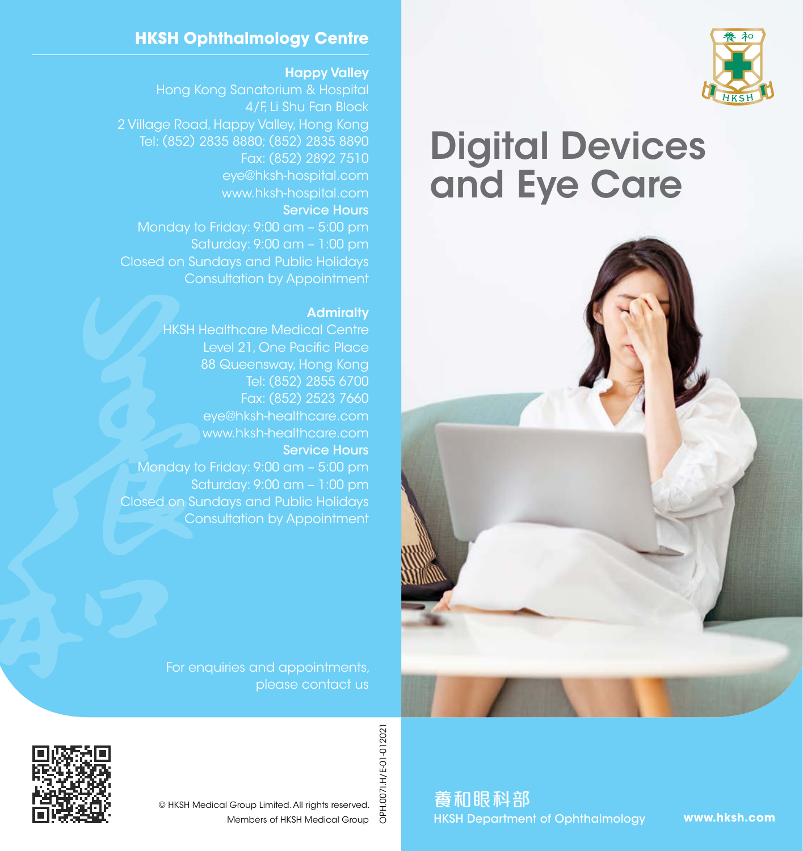

# Digital Devices and Eye Care



### **HKSH Ophthalmology Centre**

#### Happy Valley

Hong Kong Sanatorium & Hospital 4/F, Li Shu Fan Block 2 Village Road, Happy Valley, Hong Kong Tel: (852) 2835 8880; (852) 2835 8890 Fax: (852) 2892 7510 eye@hksh-hospital.com www.hksh-hospital.com Service Hours Monday to Friday: 9:00 am – 5:00 pm Saturday: 9:00 am – 1:00 pm Closed on Sundays and Public Holidays Consultation by Appointment

#### **Admiralty**

HKSH Healthcare Medical Centre Level 21, One Pacific Place 88 Queensway, Hong Kong Tel: (852) 2855 6700 Fax: (852) 2523 7660 eye@hksh-healthcare.com www.hksh-healthcare.com Service Hours Monday to Friday: 9:00 am – 5:00 pm Saturday: 9:00 am – 1:00 pm Closed on Sundays and Public Holidays Consultation by Appointment

> For enquiries and appointments, please contact us



OPH.007I.H/E-01-012021 OPH.007I.H/E-01-012021 © HKSH Medical Group Limited. All rights reserved. Members of HKSH Medical Group

養和眼科部 HKSH Department of Ophthalmology

**www.hksh.com**